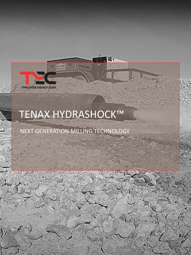

# TENAX HYDRASHOCK™

## NEXT GENERATION MILLING TECHNOLOGY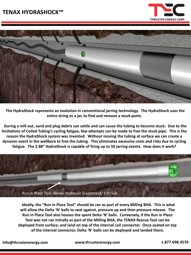



**The HydraShock represents an evolution in conventional jarring technology. The HydraShock uses the entire string as a jar, to find and remove a stuck point.** 

**During a mill out, sand and plug debris can settle and can cause the tubing to become stuck. Due to the limitations of Coiled Tubing's cycling fatigue, few attempts can be made to free the stuck pipe. This is the reason the HydraShock system was invented. Without moving the tubing at surface we can create a dynamic event in the wellbore to free the tubing. This eliminates excessive costs and risks due to cycling fatigue. The 2.88" HydraShock is capable of firing up to 50 jarring events. How does it work?**



**Ideally, the "Run in Place Tool" should be ran as part of every Milling BHA. This is what will allow the Delta 'N' balls to seat against, pressure up and then pressure release. The Run in Place Tool also houses the spent Delta 'N' balls. Conversely, if the Run in Place Tool was not ran initially as part of the Milling BHA, the TENAX Rescue Tool can be deployed from surface, and land on top of the internal coil connector. Once seated on top of the internal connector, Delta 'N' balls can be deployed and landed there.**

**info@thrusterenergy.com www.thrusterenergy.com 1.877.698.3570**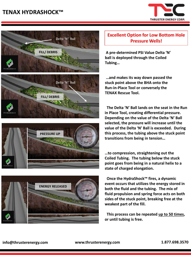## Hell And Back System (HABS)- Extreme Milling BHA **TENAX HYDRASHOCK™**











#### **Excellent Option for Low Bottom Hole Pressure Wells!**

**A pre-determined PSI Value Delta 'N' ball is deployed through the Coiled Tubing…**

**…and makes its way down passed the stuck point above the BHA onto the Run-in-Place Tool or conversely the TENAX Rescue Tool.**

**The Delta 'N' Ball lands on the seat in the Run in Place Tool, creating differential pressure. Depending on the value of the Delta 'N' Ball selected, the pressure will increase until the value of the Delta 'N' Ball is exceeded. During this process, the tubing above the stuck point transitions from being in tension…**

**…to compression, straightening out the Coiled Tubing. The tubing below the stuck point goes from being in a natural helix to a state of charged elongation.** 

**Once the HydraShock™ fires, a dynamic event occurs that utilizes the energy stored in both the fluid and the tubing. The mix of fluid propulsion and spring force acts on both sides of the stuck point, breaking free at the weakest part of the fill.**

**This process can be repeated up to 50 times, or until tubing is free.**

#### **info@thrusterenergy.com www.thrusterenergy.com 1.877.698.3570**